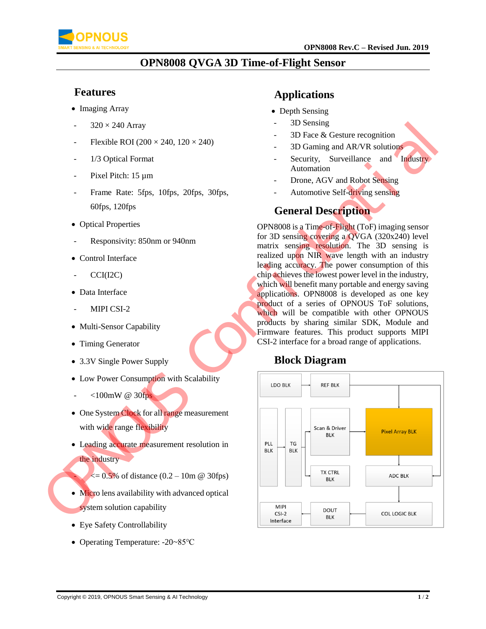

### **OPN8008 QVGA 3D Time-of-Flight Sensor**

#### **Features**

- Imaging Array
- $320 \times 240$  Array
- Flexible ROI ( $200 \times 240$ ,  $120 \times 240$ )
- 1/3 Optical Format
- Pixel Pitch: 15 µm
- Frame Rate: 5fps, 10fps, 20fps, 30fps, 60fps, 120fps
- Optical Properties
- Responsivity: 850nm or 940nm
- Control Interface
- $CCI(I2C)$
- Data Interface
- MIPI CSI-2
- Multi-Sensor Capability
- Timing Generator
- 3.3V Single Power Supply
- Low Power Consumption with Scalability
- <100mW @ 30fps
- One System Clock for all range measurement with wide range flexibility
- Leading accurate measurement resolution in the industry
	- $\leq$  = 0.5% of distance (0.2 10m @ 30fps)
- Micro lens availability with advanced optical system solution capability
- Eye Safety Controllability
- Operating Temperature: -20~85℃

### **Applications**

- Depth Sensing
- 3D Sensing
- 3D Face & Gesture recognition
- 3D Gaming and AR/VR solutions
- Security, Surveillance and Industry Automation
- Drone, AGV and Robot Sensing
- Automotive Self-driving sensing

### **General Description**

OPN8008 is a Time-of-Flight (ToF) imaging sensor for 3D sensing covering a QVGA (320x240) level matrix sensing resolution. The 3D sensing is realized upon NIR wave length with an industry leading accuracy. The power consumption of this chip achieves the lowest power level in the industry, which will benefit many portable and energy saving applications. OPN8008 is developed as one key product of a series of OPNOUS ToF solutions, which will be compatible with other OPNOUS products by sharing similar SDK, Module and Firmware features. This product supports MIPI CSI-2 interface for a broad range of applications.

### **Block Diagram**